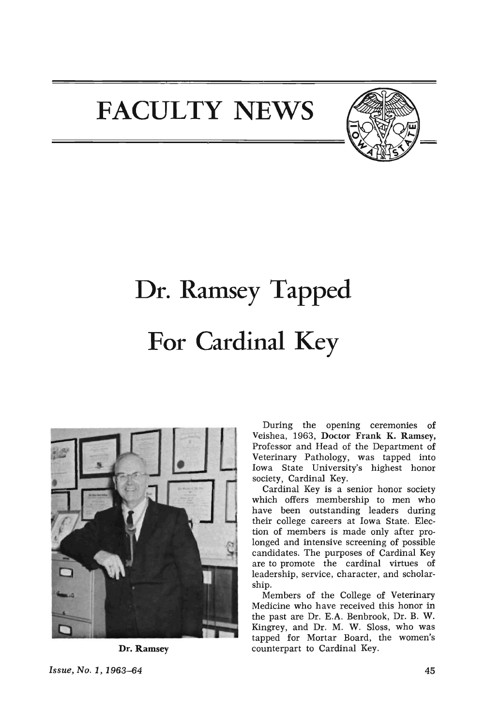## **FACULTY NEWS**



# **Dr. Ramsey Tapped For Cardinal Key**



Dr. Ramsey

During the opening ceremonies of Veishea, 1963, Doctor Frank K. Ramsey, Professor and Head of the Department of Veterinary Pathology, was tapped into Iowa State University's highest honor society, Cardinal Key.

Cardinal Key is a senior honor society which offers membership to men who have been outstanding leaders during their college careers at Iowa State. Election of members is made only after prolonged and intensive screening of possible candidates. The purposes of Cardinal Key are to promote the cardinal virtues of leadership, service, character, and scholarship.

Members of the College of Veterinary Medicine who have received this honor in the past are Dr. E.A. Benbrook, Dr. B. W. Kingrey, and Dr. M. W. Sloss, who was tapped for Mortar Board, the women's counterpart to Cardinal Key.

Issue, No.1, 1963-64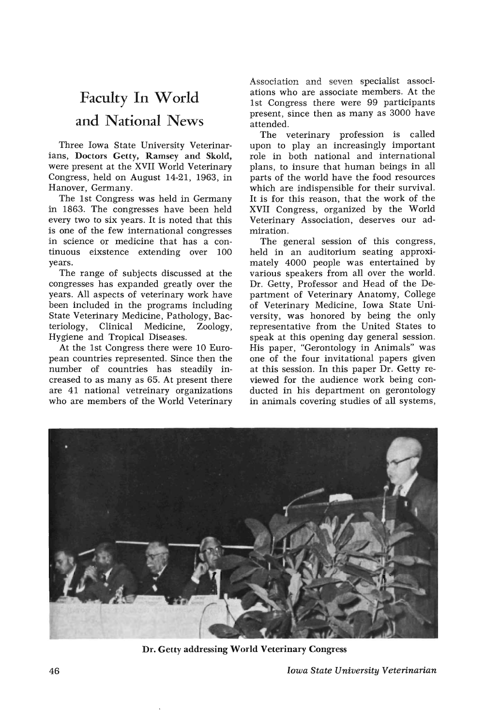### Faculty In World **and National** News

Three Iowa State University Veterinarians, Doctors Getty, Ramsey and Skold, were present at the XVII World Veterinary Congress, held on August 14-21, 1963, in Hanover, Germany.

The 1st Congress was held in Germany in 1863. The congresses have been held every two to six years. It is noted that this is one of the few international congresses in science or medicine that has a continuous eixstence extending over 100 years.

The range of subjects discussed at the congresses has expanded greatly over the years. All aspects of veterinary work have been included in the programs including State Veterinary Medicine, Pathology, Bacteriology, Clinical Medicine, Zoology; Hygiene and Tropical Diseases.

At the 1st Congress there were 10 European countries represented. Since then the number of countries has steadily increased to as many as 65. At present there are 41 national vetreinary organizations who are members of the World Veterinary Association and seven specialist associations who are associate members. At the 1st Congress there were 99 participants present, since then as many as 3000 have attended.

The veterinary profession is called upon to play an increasingly important role in both national and international plans, to insure that human beings in all parts of the world have the food resources which are indispensible for their survival. It is for this reason, that the work of the XVII Congress, organized by the World Veterinary Association, deserves our admiration.

The general session of this congress, held in an auditorium seating approximately 4000 people was entertained by various speakers from all over the world. Dr. Getty, Professor and Head of the Department of Veterinary Anatomy, College of Veterinary Medicine, Iowa State University, was honored by being the only representative from the United States to speak at this opening day general session. His paper, "Gerontology in Animals" was one of the four invitational papers given at this session. In this paper Dr. Getty reviewed for the audience work being conducted in his department on gerontology in animals covering studies of all systems,



Dr. Getty addressing World Veterinary Congress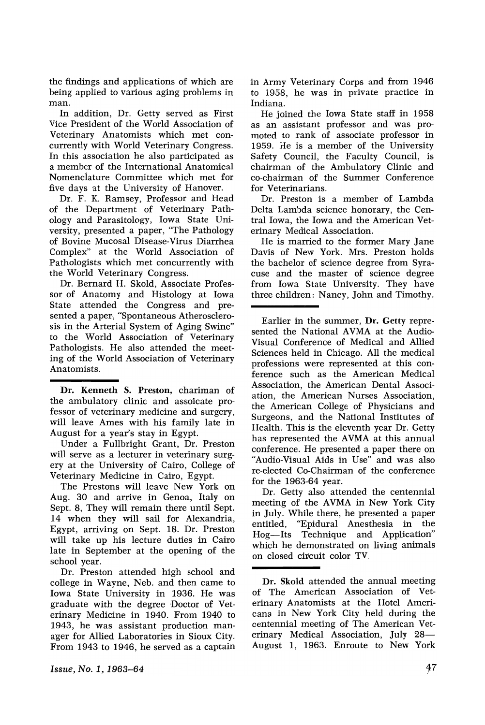the findings and applications of which are being applied to various aging problems in man.

In addition, Dr. Getty served as First Vice President of the World Association of Veterinary Anatomists which met concurrently with World Veterinary Congress. In this association he also participated as a member of the International Anatomical Nomenciature Committee which met for five days at the University of Hanover.

Dr. F. K. Ramsey, Professor and Head of the Department of Veterinary Pathology and Parasitology, Iowa State University, presented a paper, "The Pathology of Bovine Mucosal Disease-Virus Diarrhea Complex" at the World Association of Pathologists which met concurrently with the World Veterinary Congress.

Dr. Bernard H. Skold, Associate Professor of Anatomy and Histology at Iowa State attended the Congress and presented a paper, "Spontaneous Atherosclerosis in the Arterial System of Aging Swine" to the World Association of Veterinary Pathologists. He also attended the meeting of the World Association of Veterinary Anatomists.

Dr. Kenneth S. Preston, chariman of the ambulatory clinic and assoicate professor of veterinary medicine and surgery, will leave Ames with his family late in August for a year's stay in Egypt.

Under a Fullbright Grant, Dr. Preston will serve as a lecturer in veterinary surgery at the University of Cairo, College of Veterinary Medicine in Cairo, Egypt.

The Prestons will leave New York on Aug. 30 and arrive in Genoa, Italy on Sept. 8, They will remain there until Sept. 14 when they will sail for Alexandria, Egypt, arriving on Sept. 18. Dr. Preston will take up his lecture duties in Cairo late in September at the opening of the school year.

Dr. Preston attended high school and college in Wayne, Neb. and then came to Iowa State University in 1936. He was graduate with the degree Doctor of Veterinary Medicine in 1940. From 1940 to 1943, he was assistant production manager for Allied Laboratories in Sioux City. From 1943 to 1946, he served as a captain in Army Veterinary Corps and from 1946 to 1958, he was in private practice in Indiana.

He joined the Iowa State staff in 1958 as an assistant professor and was promoted to rank of associate professor in 1959. He is a member of the University Safety Council, the Faculty Council, is chairman of the Ambulatory Clinic and co-chairman of the Summer Conference for Veterinarians.

Dr. Preston is a member of Lambda Delta Lambda science honorary, the Central Iowa, the Iowa and the American Veterinary Medical Association.

He is married to the former Mary Jane Davis of New York. Mrs. Preston holds the bachelor of science degree from Syracuse and the master of science degree from Iowa State University. They have three children: Nancy, John and Timothy.

Earlier in the summer, Dr. Getty represented the National AVMA at the Audio-Visual Conference of Medical and Allied Sciences held in Chicago. All the medical professions were represented at this conference such as the American Medical Association, the American Dental Association, the American Nurses Association, the American College of Physicians and Surgeons, and the National Institutes of Health. This is the eleventh year Dr. Getty has represented the AVMA at this annual conference. He presented a paper there on "Audio-Visual Aids in Use" and was also re-elected Co-Chairman of the conference for the 1963-64 year.

Dr. Getty also attended the centennial meeting of the AVMA in New York City in July. While there, he presented a paper entitled, "Epidural Anesthesia in the Hog-Its Technique and Application" which he demonstrated on living animals on closed circuit color TV.

Dr. Skold attended the annual meeting of The American Association of Veterinary Anatomists at the Hotel Americana in New York City held during the centennial meeting of The American Veterinary Medical Association, July 28-August 1, 1963. Enroute to New York

Issue, No. 1, 1963-64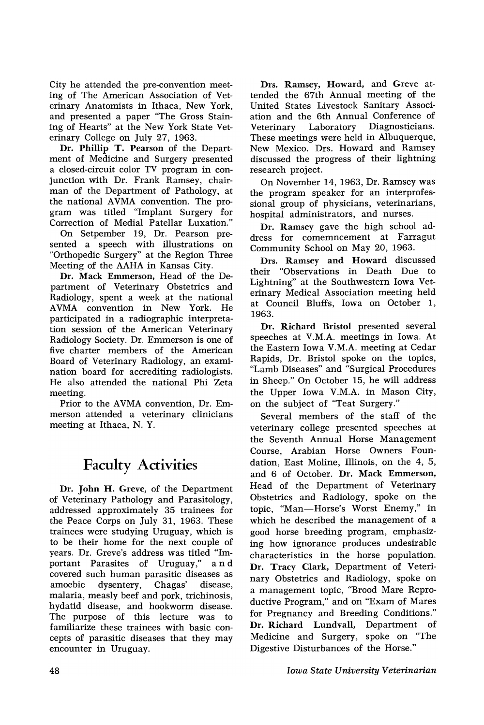City he attended the pre-convention meeting of The American Association of Veterinary Anatomists in Ithaca, New York, and presented a paper "The Gross Staining of Hearts" at the New York State Veterinary College on July 27, 1963.

Dr. Phillip T. Pearson of the Department of Medicine and Surgery presented a closed-circuit color TV program in conjunction with Dr. Frank Ramsey, chairman of the Department of Pathology, at the national AVMA convention. The program was titled "Implant Surgery for Correction of Medial Patellar Luxation."

On Setpember 19, Dr. Pearson presented a speech with illustrations on "Orthopedic Surgery" at the Region Three Meeting of the AAHA in Kansas City.

Dr. Mack Emmerson, Head of the Department of Veterinary Obstetrics and Radiology, spent a week at the national AVMA convention in New York. He participated in a radiographic interpretation session of the American Veterinary Radiology Society. Dr. Emmerson is one of five charter members of the American Board of Veterinary Radiology, an exan1ination board for accrediting radiologists. He also attended the national Phi Zeta meeting.

Prior to the AVMA convention, Dr. Emmerson attended a veterinary clinicians meeting at Ithaca, N. Y.

#### Faculty Activities

Dr. John H. Greve, of the Department of Veterinary Pathology and Parasitology, addressed approximately 35 trainees for the Peace Corps on July 31, 1963. These trainees were studying Uruguay, which is to be their home for the next couple of years. Dr. Greve's address was titled "Important Parasites of Uruguay," and covered such human parasitic diseases as amoebic dysentery, Chagas' disease, malaria, measly beef and pork, trichinosis, hydatid disease, and hookworm disease. The purpose of this lecture was to familiarize these trainees with basic concepts of parasitic diseases that they may encounter in Uruguay.

Drs. Ramsey, Howard, and Greve attended the 67th Annual meeting of the United States Livestock Sanitary Association and the 6th Annual Conference of Veterinary Laboratory Diagnosticians. These meetings were held in Albuquerque, New Mexico. Drs. Howard and Ramsey discussed the progress of their lightning research project.

On November 14, 1963, Dr. Ramsey was the program speaker for an interprofessional group of physicians, veterinarians, hospital administrators, and nurses.

Dr. Ramsey gave the high school address for comemncement at Farragut Community School on May 20, 1963.

Drs. Ramsey and Howard discussed their "Observations in Death Due to Lightning" at the Southwestern Iowa Veterinary Medical Association meeting held at Council Bluffs, Iowa on October 1, 1963.

Dr. Richard Bristol presented several speeches at V.M.A. meetings in Iowa. At the Eastern Iowa V.M.A. meeting at Cedar Rapids, Dr. Bristol spoke on the topics, "Lamb Diseases" and "Surgical Procedures in Sheep." On October 15, he will address the Upper Iowa V.M.A. in Mason City, on the subject of "Teat Surgery."

Several members of the staff of the veterinary college presented speeches at the Seventh Annual Horse Management Course, Arabian Horse Owners Foundation, East Moline, Illinois, on the 4, 5, and 6 of October. Dr. Mack Emmerson, Head of the Department of Veterinary Obstetrics and Radiology, spoke on the topic, "Man-Horse's Worst Enemy," in which he described the management of a good horse breeding program, emphasizing how ignorance produces undesirable characteristics in the horse population. Dr. Tracy Clark, Department of Veterinary Obstetrics and Radiology, spoke on a management topic, "Brood Mare Reproductive Program," and on "Exam of Mares for Pregnancy and Breeding Conditions." Dr. Richard Lundvall, Department of Medicine and Surgery, spoke on "The Digestive Disturbances of the Horse."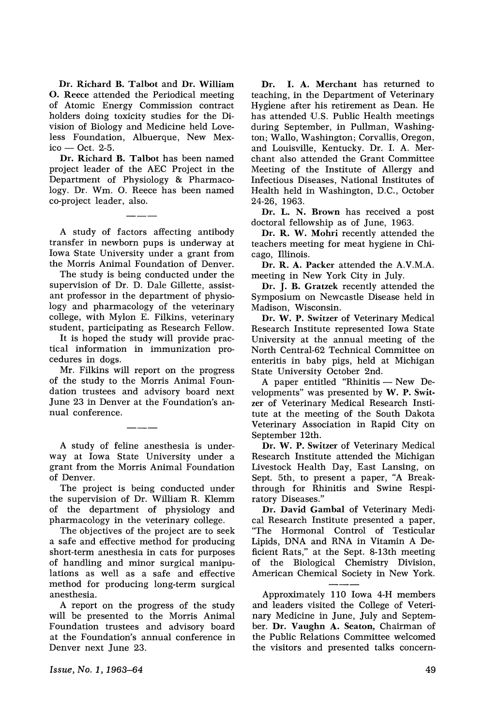Dr. Richard B. Talbot and Dr. William o. Reece attended the Periodical meeting of Atomic Energy Commission contract holders doing toxicity studies for the Division of Biology and Medicine held Loveless Foundation, Albuerque, New Mex $ico - Oct. 2-5.$ 

Dr. Richard B. Talbot has been named project leader of the AEC Project in the Department of Physiology & Pharmacology. Dr. Wm. O. Reece has been named co-project leader, also.

A study of factors affecting antibody transfer in newborn pups is underway at Iowa State University under a grant from the Morris Animal Foundation of Denver.

The study is being conducted under the supervision of Dr. D. Dale Gillette, assistant professor in the department of physiology and pharmacology of the veterinary college, with Mylon E. Filkins, veterinary student, participating as Research Fellow.

It is hoped the study will provide practical information in immunization procedures in dogs.

Mr. Filkins will report on the progress of the study to the Morris Animal Foundation trustees and advisory board next June 23 in Denver at the Foundation's annual conference.

A study of feline anesthesia is underway at Iowa State University under a grant from the Morris Animal Foundation of Denver.

The project is being conducted under the supervision of Dr. William R. Klemm of the department of physiology and pharmacology in the veterinary college.

The objectives of the project are to seek a safe and effective method for producing short-term anesthesia in cats for purposes of handling and minor surgical manipulations as well as a safe and effective method for producing long-term surgical anesthesia.

A report on the progress of the study will be presented to the Morris Animal Foundation trustees and advisory board at the Foundation's annual conference in Denver next June 23.

Dr. I. A. Merchant has returned to teaching, in the Department of Veterinary Hygiene after his retirement as Dean. He has attended U.S. Public Health meetings during September, in Pullman, Washington; Wallo, Washington; Corvallis, Oregon, and Louisville, Kentucky. Dr. I. A. Merchant also attended the Grant Committee Meeting of the Institute of Allergy and Infectious Diseases, National Institutes of Health held in Washington, D.C., October 24-26, 1963.

Dr. L. N. Brown has received a post doctoral fellowship as of June, 1963.

Dr. R. W. Mohri recently attended the teachers meeting for meat hygiene in Chicago, Illinois.

Dr. R. A. Packer attended the A.V.M.A. meeting in New York City in July.

Dr. J. B. Gratzek recently attended the Symposium on Newcastle Disease held in Madison, Wisconsin.

Dr. W. P. Switzer of Veterinary Medical Research Institute represented Iowa State University at the annual meeting of the North Central-62 Technical Committee on enteritis in baby pigs, held at Michigan State University October 2nd.

A paper entitled "Rhinitis - New Developments" was presented by W. P. Switzer of Veterinary Medical Research Institute at the meeting of the South Dakota Veterinary Association in Rapid City on September 12th.

Dr. W. P. Switzer of Veterinary Medical Research Institute attended the Michigan Livestock Health Day, East Lansing, on Sept. 5th, to present a paper, "A Breakthrough for Rhinitis and Swine Respiratory Diseases."

Dr. David Gambal of Veterinary Medical Research Institute presented a paper, "The Hormonal Control of Testicular Lipids, DNA and RNA in Vitamin A Deficient Rats," at the Sept. 8-13th meeting of the Biological Chemistry Division, American Chemical Society in New York.

Approximately 110 Iowa 4-H members and leaders visited the College of Veterinary Medicine in June, July and September. Dr. Vaughn A. Seaton, Chairman of the Public Relations Committee welcomed the visitors and presented talks concern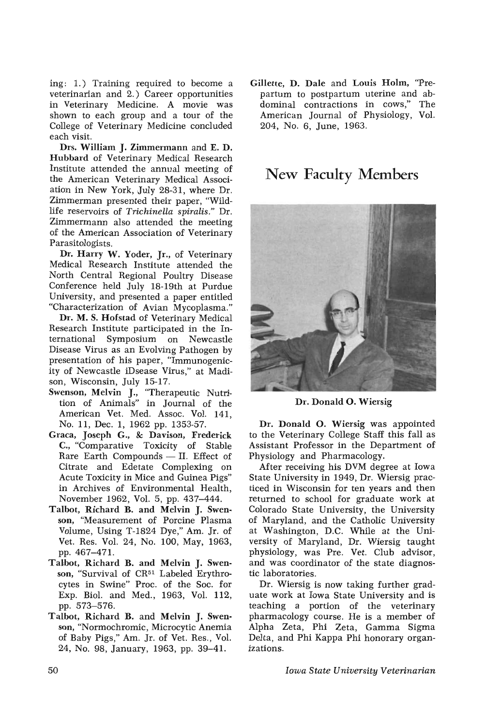ing: 1.) Training required to become a veterinarian and 2.) Career opportunities in Veterinary Medicine. A movie was shown to each group and a tour of the College of Veterinary Medicine concluded each visit.

Drs. William J. Zimmermann and E. D. Hubbard of Veterinary Medical Research Institute attended the annual meeting of the American Veterinary Medical Association in New York, July 28-31, where Dr. Zimmerman presented their paper, "Wildlife reservoirs of *Trichinella spiralis."* Dr. Zimmermann also attended the meeting of the American Association of Veterinary Parasitologists.

Dr. Harry W. Yoder, Jr., of Veterinary Medical Research Institute attended the North Central Regional Poultry Disease Conference held July 18-19th at Purdue University, and presented a paper entitled "Characterization of Avian Mycoplasma."

Dr. M. S. Hofstad of Veterinary Medical Research Institute participated in the International Symposium on Newcastle Disease Virus as an Evolving Pathogen by presentation of his paper, "Immunogenicity of Newcastle iDsease Virus," at Madison, Wisconsin, July 15-17.

- Swenson, Melvin J., "Therapeutic Nutrition of Animals" in Journal of the American Vet. Med. Assoc. Vol. 141, No. 11, Dec. 1, 1962 pp. 1353-57.
- Graca, Joseph G., & Davison, Frederick C., "Comparative Toxicity of Stable Rare Earth Compounds  $-$  II. Effect of Citrate and Edetate Complexing on Acute Toxicity in Mice and Guinea Pigs" in Archives of Environmental Health, November 1962, Vol. 5, pp. 437-444.
- Talbot, Richard B. and Melvin J. Swenson, "Measurement of Porcine Plasma Volume, Using T-I824 Dye," Am. Jr. of Vet. Res. Vol. 24, No. 100, May, 1963, pp. 467-471.
- TaLbot, Richard B. and Melvin J. Swenson, "Survival of CR<sup>51</sup> Labeled Erythrocytes in Swine" Proc. of the Soc. for Exp. BioI. and Med., 1963, Vol. 112, pp. 573-576.
- Talbot, Richard B. and Melvin J. Swenson, "Normochromic, Microcytic Anemia of Baby Pigs," Am. Jr. of Vet. Res., Vol. 24, No. 98, January, 1963, pp. 39-41.

Gillette, D. Dale and Louis Holm, "Prepartum to postpartum uterine and abdominal contractions in cows," The American Journal of Physiology, Vol. 204, No.6, June, 1963.

#### New Faculty Members



Dr. Donald O. Wiersig

Dr. Donald O. Wiersig was appointed to the Veterinary College Staff this fall as Assistant Professor in the Department of Physiology and Pharmacology.

After receiving his DVM degree at Iowa State University in 1949, Dr. Wiersig practiced in Wisconsin for ten years and then returned to school for graduate work at Colorado State University, the University of Maryland, and the Catholic University at Washington, D.C. While at the University of Maryland, Dr. Wiersig taught physiology, was Pre. Vet. Club advisor, and was coordinator of the state diagnostic laboratories.

Dr. Wiersig is now taking further graduate work at Iowa State University and is teaching a portion of the veterinary pharmacology course. He is a member of Alpha Zeta, Phi Zeta, Gamma Sigma Delta, and Phi Kappa Phi honorary organizations.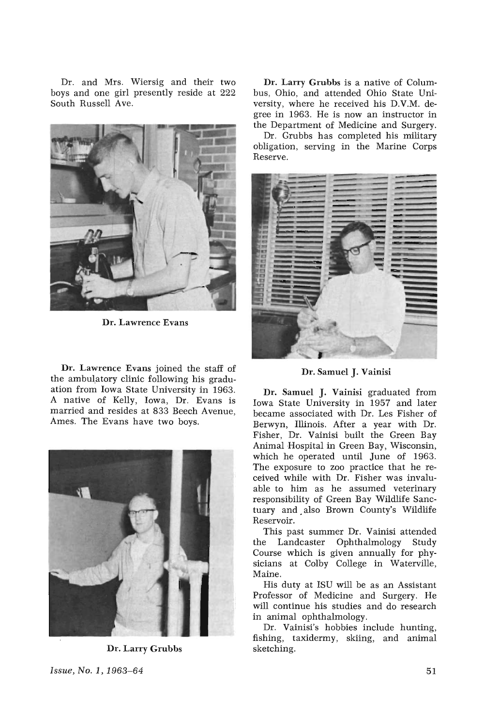Dr. and Mrs. Wiersig and their two boys and one girl presently reside at 222 South Russell Ave.



Dr. Lawrence Evans

Dr. Lawrence Evans joined the staff of the ambulatory clinic following his graduation from Iowa State University in 1963. A native of Kelly, Iowa, Dr. Evans is married and resides at 833 Beech Avenue, Ames. The Evans have two boys.



Dr. Larry Grubbs

Dr. Larry Grubbs is a native of Columbus, Ohio, and attended Ohio State University, where he received his D.V.M. degree in 1963. He is now an instructor in the Department of Medicine and Surgery.

Dr. Grubbs has completed his military obligation, serving in the Marine Corps Reserve.



Dr. Samuel J. Vainisi

Dr. Samuel J. Vainisi graduated from Iowa State University in 1957 and later became associated with Dr. Les Fisher of Berwyn, Illinois. After a year with Dr. Fisher, Dr. Vainisi built the Green Bay Animal Hospital in Green Bay, Wisconsin, which he operated until June of 1963. The exposure to zoo practice that he received while with Dr. Fisher was invaluable to him as he assumed veterinary responsibility of Green Bay Wildlife Sanctuary and. also Brown County's Wildlife Reservoir.

This past summer Dr. Vainisi attended the Landcaster Ophthalmology Study Course which is given annually for physicians at Colby College in Waterville, Maine.

His duty at ISU will be as an Assistant Professor of Medicine and Surgery. He will continue his studies and do research in animal ophthalmology.

Dr. Vainisi's hobbies include hunting, fishing, taxidermy, skiing, and animal sketching.

*Issue, No.1, 1963-64*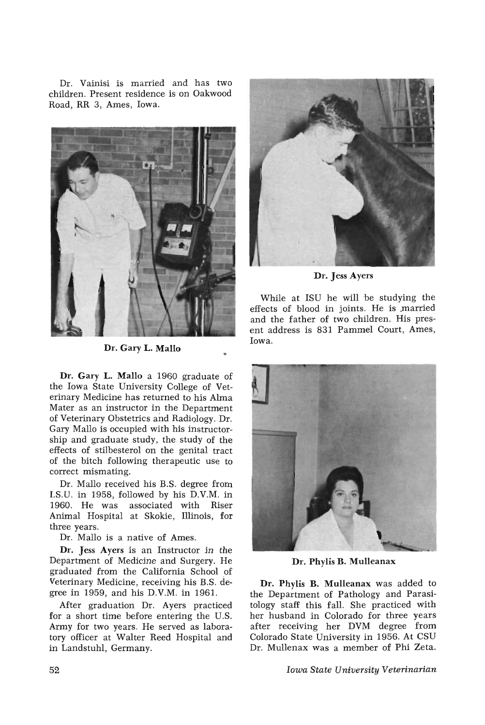Dr. Vainisi is married and has two children. Present residence is on Oakwood Road, RR 3, Ames, Iowa.



Dr. Gary L. Mallo

Dr. Gary L. Mallo a 1960 graduate of the Iowa State University College of Veterinary Medicine has returned to his Alma Mater as an instructor in the Department of Veterinary Obstetrics and Radiology. Dr. Gary Mallo is occupied with his instructorship and graduate study, the study of the effects of stilbesterol on the genital tract of the bitch following therapeutic use to correct mismating.

Dr. Mallo received his B.S. degree from I.S.U. in 1958, followed by his D.V.M. in 1960. He was associated with Riser Animal Hospital at Skokie, Illinois, for three years.

Dr. Mallo is a native of Ames.

Dr. Jess Ayers is an Instructor in the Department of Medicine and Surgery. He graduated from the California School of Veterinary Medicine, receiving his B.S. degree in 1959, and his D.V.M. in 1961.

After graduation Dr. Ayers practiced for a short time before entering the U.S. Army for two years. He served as laboratory officer at Walter Reed Hospital and in Landstuhl, Germany.



Dr. Jess Ayers

While at ISU he will be studying the effects of blood in joints. He is married and the father of two children. His present address is 831 Pammel Court, Ames, Iowa.



Dr. Phylis B. Mulleanax

Dr. Phylis B. Mulleanax was added to the Department of Pathology and Parasitology staff this fall. She practiced with her husband in Colorado for three years after receiving her DVM degree from Colorado State University in 1956. At CSU Dr. Mullenax was a member of Phi Zeta.